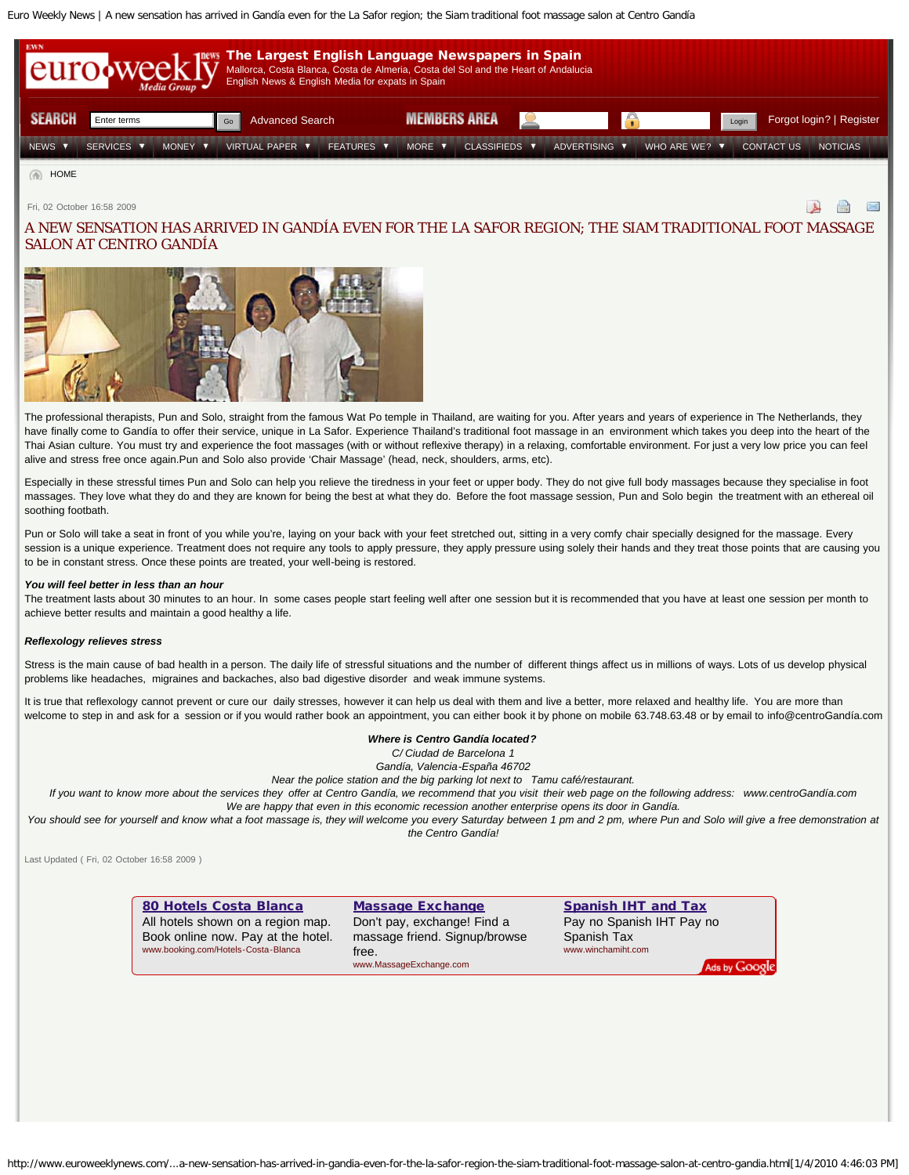<span id="page-0-0"></span>Euro Weekly News | A new sensation has arrived in Gandía even for the La Safor region; the Siam traditional foot massage salon at Centro Gandía



Fri, 02 October 16:58 2009

 $\rightarrow$  $\sim$ ⊟

# A NEW SENSATION HAS ARRIVED IN GANDÍA EVEN FOR THE LA SAFOR REGION; THE SIAM TRADITIONAL FOOT MASSAGE SALON AT CENTRO GANDÍA



The professional therapists, Pun and Solo, straight from the famous Wat Po temple in Thailand, are waiting for you. After years and years of experience in The Netherlands, they have finally come to Gandía to offer their service, unique in La Safor. Experience Thailand's traditional foot massage in an environment which takes you deep into the heart of the Thai Asian culture. You must try and experience the foot massages (with or without reflexive therapy) in a relaxing, comfortable environment. For just a very low price you can feel alive and stress free once again.Pun and Solo also provide 'Chair Massage' (head, neck, shoulders, arms, etc).

Especially in these stressful times Pun and Solo can help you relieve the tiredness in your feet or upper body. They do not give full body massages because they specialise in foot massages. They love what they do and they are known for being the best at what they do. Before the foot massage session, Pun and Solo begin the treatment with an ethereal oil soothing footbath.

Pun or Solo will take a seat in front of you while you're, laying on your back with your feet stretched out, sitting in a very comfy chair specially designed for the massage. Every session is a unique experience. Treatment does not require any tools to apply pressure, they apply pressure using solely their hands and they treat those points that are causing you to be in constant stress. Once these points are treated, your well-being is restored.

### *You will feel better in less than an hour*

The treatment lasts about 30 minutes to an hour. In some cases people start feeling well after one session but it is recommended that you have at least one session per month to achieve better results and maintain a good healthy a life.

#### *Reflexology relieves stress*

Stress is the main cause of bad health in a person. The daily life of stressful situations and the number of different things affect us in millions of ways. Lots of us develop physical problems like headaches, migraines and backaches, also bad digestive disorder and weak immune systems.

It is true that reflexology cannot prevent or cure our daily stresses, however it can help us deal with them and live a better, more relaxed and healthy life. You are more than welcome to step in and ask for a session or if you would rather book an appointment, you can either book it by phone on mobile 63.748.63.48 or by email to info@centroGandía.com

## *Where is Centro Gandía located?*

*C/ Ciudad de Barcelona 1*

*Gandía, Valencia-España 46702*

*Near the police station and the big parking lot next to Tamu café/restaurant.*

*If you want to know more about the services they offer at Centro Gandía, we recommend that you visit their web page on the following address: www.centroGandía.com We are happy that even in this economic recession another enterprise opens its door in Gandía.*

You should see for yourself and know what a foot massage is, they will welcome you every Saturday between 1 pm and 2 pm, where Pun and Solo will give a free demonstration at *the Centro Gandía!*

Last Updated ( Fri, 02 October 16:58 2009 )

#### [80 Hotels Costa Blanca](http://googleads.g.doubleclick.net/aclk?sa=l&ai=Ba3a7zwxCS8-CHuG6jQeiz-jIAqLbgTyilZapBMCNtwGg0RkQARgBIOSZvwgoAzgAULWr0Zv7_____wFg1dXagqgJoAGWmef5A7IBFnd3dy5ldXJvd2Vla2x5bmV3cy5jb226AQk3Mjh4OTBfYXPIAQHaAbQBaHR0cDovL3d3dy5ldXJvd2Vla2x5bmV3cy5jb20vc2VydmljZXMvY29zdGEtYmxhbmNhL2EtbmV3LXNlbnNhdGlvbi1oYXMtYXJyaXZlZC1pbi1nYW5kaWEtZXZlbi1mb3ItdGhlLWxhLXNhZm9yLXJlZ2lvbi10aGUtc2lhbS10cmFkaXRpb25hbC1mb290LW1hc3NhZ2Utc2Fsb24tYXQtY2VudHJvLWdhbmRpYS5odG1sgAIBqQKxAbcEXvq3PsgC-pfJCagDAcgDB-gDHegDLegDrQT1AwAAAIT1AwAAQAA&num=1&ggladgrp=452878066&gglcreat=1064514766&sig=AGiWqtyr_66DR3ydmMRUT5xoi6wGYiKHSw&client=ca-pub-0293207550827708&adurl=http://www.booking.com/searchresults.en.html%3Faid%3D312627%3Blabel%3Dcosta-blanca-en-Z*vIOj72baGfE3Ai2y5ecQC1064514766%3Bregion%3D1392%3Bws%3Dwww.euroweeklynews.com) All hotels shown on a region map. Book online now. Pay at the hotel. www.booking.com/Hotels-Costa-Blanca [Massage Exchange](http://googleads.g.doubleclick.net/aclk?sa=l&ai=BVmzIzwxCS8-CHuG6jQeiz-jIAqPexYQBl57--gHAjbcBsK4VEAIYAiDkmb8IKAM4AFCTiIP4BmDV1dqCqAmgAZKNvf8DsgEWd3d3LmV1cm93ZWVrbHluZXdzLmNvbboBCTcyOHg5MF9hc8gBAdoBtAFodHRwOi8vd3d3LmV1cm93ZWVrbHluZXdzLmNvbS9zZXJ2aWNlcy9jb3N0YS1ibGFuY2EvYS1uZXctc2Vuc2F0aW9uLWhhcy1hcnJpdmVkLWluLWdhbmRpYS1ldmVuLWZvci10aGUtbGEtc2Fmb3ItcmVnaW9uLXRoZS1zaWFtLXRyYWRpdGlvbmFsLWZvb3QtbWFzc2FnZS1zYWxvbi1hdC1jZW50cm8tZ2FuZGlhLmh0bWyAAgGoAwHIAwfoAx3oAy3oA60E9QMAAACE9QMAAEAA&num=2&sig=AGiWqtyMDwiXCxqkfGfnSO9PCHFDAtXDUg&client=ca-pub-0293207550827708&adurl=http://www.MassageExchange.com/%3FAC%3D1) Don't pay, exchange! Find a massage friend. Signup/browse free. www.MassageExchange.com [Spanish IHT and Tax](http://googleads.g.doubleclick.net/aclk?sa=l&ai=BiseezwxCS8-CHuG6jQeiz-jIArXos50Bt7eTrQfAjbcBsL0QEAMYAyDkmb8IKAM4AFDY09bTBGDV1dqCqAmyARZ3d3cuZXVyb3dlZWtseW5ld3MuY29tugEJNzI4eDkwX2FzyAEB2gG0AWh0dHA6Ly93d3cuZXVyb3dlZWtseW5ld3MuY29tL3NlcnZpY2VzL2Nvc3RhLWJsYW5jYS9hLW5ldy1zZW5zYXRpb24taGFzLWFycml2ZWQtaW4tZ2FuZGlhLWV2ZW4tZm9yLXRoZS1sYS1zYWZvci1yZWdpb24tdGhlLXNpYW0tdHJhZGl0aW9uYWwtZm9vdC1tYXNzYWdlLXNhbG9uLWF0LWNlbnRyby1nYW5kaWEuaHRtbIACAakCQ9oC3psBuz6oAwHIAwfoAx3oAy3oA60E9QMAAACE9QMAAEAA&num=3&sig=AGiWqty-MzNGZuSoAZQZeHtnQTwDVHl_XA&client=ca-pub-0293207550827708&adurl=http://www.winchamiht.com) Pay no Spanish IHT Pay no Spanish Tax www.winchamiht.com

http://www.euroweeklynews.com/...a-new-sensation-has-arrived-in-gandia-even-for-the-la-safor-region-the-siam-traditional-foot-massage-salon-at-centro-gandia.html[1/4/2010 4:46:03 PM]